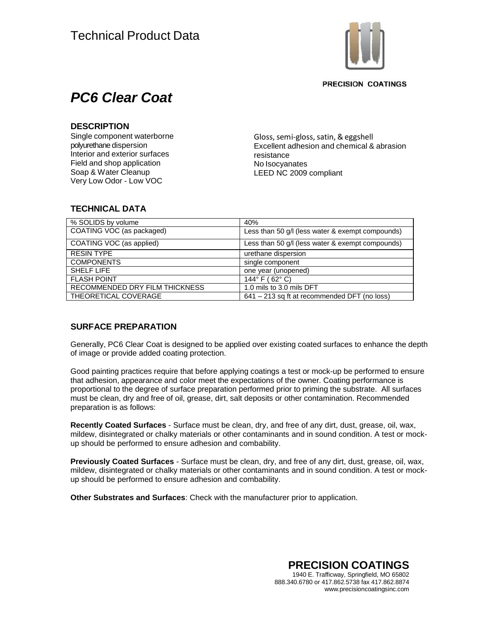

**PRECISION COATINGS** 

# *PC6 Clear Coat*

### **DESCRIPTION**

Single component waterborne polyurethane dispersion Interior and exterior surfaces Field and shop application Soap & Water Cleanup Very Low Odor - Low VOC

Gloss, semi-gloss, satin, & eggshell Excellent adhesion and chemical & abrasion resistance No Isocyanates LEED NC 2009 compliant

# **TECHNICAL DATA**

| % SOLIDS by volume             | 40%                                              |
|--------------------------------|--------------------------------------------------|
| COATING VOC (as packaged)      | Less than 50 g/l (less water & exempt compounds) |
| COATING VOC (as applied)       | Less than 50 g/l (less water & exempt compounds) |
| <b>RESIN TYPE</b>              | urethane dispersion                              |
| <b>COMPONENTS</b>              | single component                                 |
| SHELF LIFE                     | one year (unopened)                              |
| <b>FLASH POINT</b>             | $144^{\circ}$ F (62 $^{\circ}$ C)                |
| RECOMMENDED DRY FILM THICKNESS | 1.0 mils to 3.0 mils DFT                         |
| THEORETICAL COVERAGE           | 641 - 213 sq ft at recommended DFT (no loss)     |

# **SURFACE PREPARATION**

Generally, PC6 Clear Coat is designed to be applied over existing coated surfaces to enhance the depth of image or provide added coating protection.

that adhesion, appearance and color meet the expectations of the owner. Coating performance is Good painting practices require that before applying coatings a test or mock-up be performed to ensure proportional to the degree of surface preparation performed prior to priming the substrate. All surfaces must be clean, dry and free of oil, grease, dirt, salt deposits or other contamination. Recommended preparation is as follows:

**Recently Coated Surfaces** - Surface must be clean, dry, and free of any dirt, dust, grease, oil, wax, mildew, disintegrated or chalky materials or other contaminants and in sound condition. A test or mockup should be performed to ensure adhesion and combability.

**Previously Coated Surfaces** - Surface must be clean, dry, and free of any dirt, dust, grease, oil, wax, mildew, disintegrated or chalky materials or other contaminants and in sound condition. A test or mockup should be performed to ensure adhesion and combability.

**Other Substrates and Surfaces**: Check with the manufacturer prior to application.